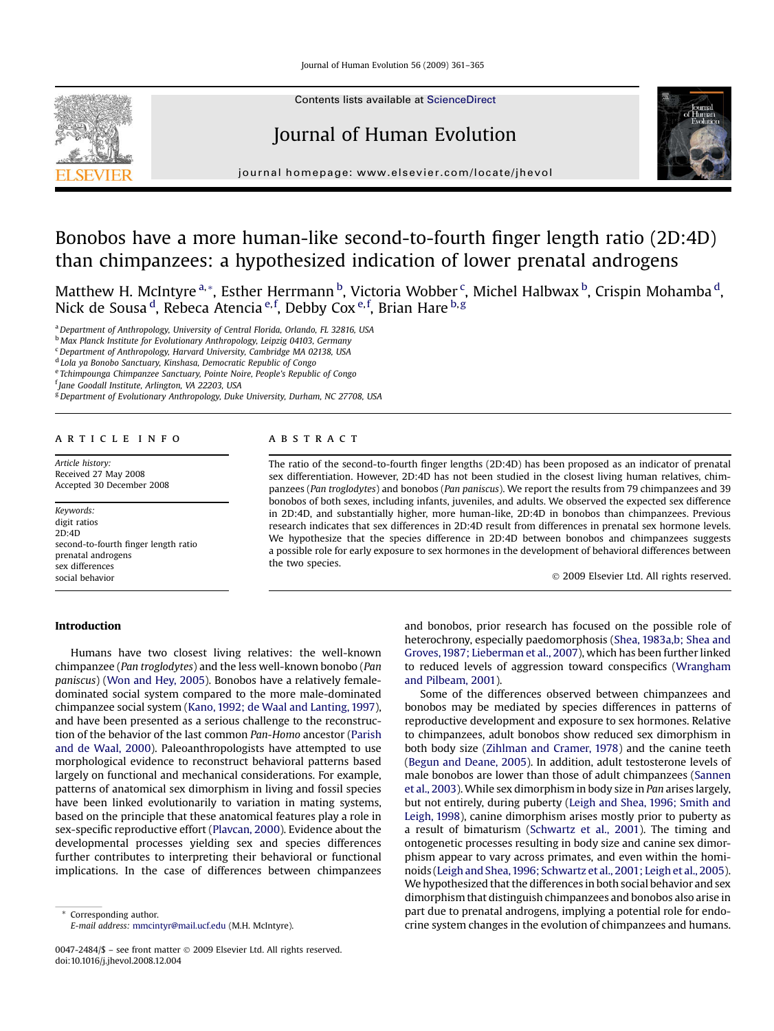

Contents lists available at [ScienceDirect](www.sciencedirect.com/science/journal/00472484)

## Journal of Human Evolution



journal homepage: [www.elsevier.com/locate/jhevol](http://www.elsevier.com/locate/jhevol)

# Bonobos have a more human-like second-to-fourth finger length ratio (2D:4D) than chimpanzees: a hypothesized indication of lower prenatal androgens

Matthew H. McIntyre <sup>a, \*</sup>, Esther Herrmann <sup>b</sup>, Victoria Wobber <sup>c</sup>, Michel Halbwax <sup>b</sup>, Crispin Mohamba <sup>d</sup>, Nick de Sousa <sup>d</sup>, Rebeca Atencia <sup>e, f</sup>, Debby Cox <sup>e, f</sup>, Brian Hare <sup>b, g</sup>

a Department of Anthropology, University of Central Florida, Orlando, FL 32816, USA

<sup>b</sup> Max Planck Institute for Evolutionary Anthropology, Leipzig 04103, Germany

 $c$  Department of Anthropology, Harvard University, Cambridge MA 02138, USA

<sup>d</sup> Lola ya Bonobo Sanctuary, Kinshasa, Democratic Republic of Congo

<sup>e</sup> Tchimpounga Chimpanzee Sanctuary, Pointe Noire, People's Republic of Congo

<sup>f</sup> Jane Goodall Institute, Arlington, VA 22203, USA

<sup>g</sup> Department of Evolutionary Anthropology, Duke University, Durham, NC 27708, USA

## article info

Article history: Received 27 May 2008 Accepted 30 December 2008

Keywords: digit ratios 2D:4D second-to-fourth finger length ratio prenatal androgens sex differences social behavior

#### Introduction

#### **ABSTRACT**

The ratio of the second-to-fourth finger lengths (2D:4D) has been proposed as an indicator of prenatal sex differentiation. However, 2D:4D has not been studied in the closest living human relatives, chimpanzees (Pan troglodytes) and bonobos (Pan paniscus). We report the results from 79 chimpanzees and 39 bonobos of both sexes, including infants, juveniles, and adults. We observed the expected sex difference in 2D:4D, and substantially higher, more human-like, 2D:4D in bonobos than chimpanzees. Previous research indicates that sex differences in 2D:4D result from differences in prenatal sex hormone levels. We hypothesize that the species difference in 2D:4D between bonobos and chimpanzees suggests a possible role for early exposure to sex hormones in the development of behavioral differences between the two species.

- 2009 Elsevier Ltd. All rights reserved.

Humans have two closest living relatives: the well-known chimpanzee (Pan troglodytes) and the less well-known bonobo (Pan paniscus) [\(Won and Hey, 2005\)](#page-4-0). Bonobos have a relatively femaledominated social system compared to the more male-dominated chimpanzee social system ([Kano, 1992; de Waal and Lanting, 1997\)](#page-3-0), and have been presented as a serious challenge to the reconstruction of the behavior of the last common Pan-Homo ancestor [\(Parish](#page-4-0) [and de Waal, 2000](#page-4-0)). Paleoanthropologists have attempted to use morphological evidence to reconstruct behavioral patterns based largely on functional and mechanical considerations. For example, patterns of anatomical sex dimorphism in living and fossil species have been linked evolutionarily to variation in mating systems, based on the principle that these anatomical features play a role in sex-specific reproductive effort ([Plavcan, 2000](#page-4-0)). Evidence about the developmental processes yielding sex and species differences further contributes to interpreting their behavioral or functional implications. In the case of differences between chimpanzees

Corresponding author. E-mail address: [mmcintyr@mail.ucf.edu](mailto:mmcintyr@mail.ucf.edu) (M.H. McIntyre). and bonobos, prior research has focused on the possible role of heterochrony, especially paedomorphosis ([Shea, 1983a,b; Shea and](#page-4-0) [Groves,1987; Lieberman et al., 2007\)](#page-4-0), which has been further linked to reduced levels of aggression toward conspecifics [\(Wrangham](#page-4-0) [and Pilbeam, 2001\)](#page-4-0).

Some of the differences observed between chimpanzees and bonobos may be mediated by species differences in patterns of reproductive development and exposure to sex hormones. Relative to chimpanzees, adult bonobos show reduced sex dimorphism in both body size [\(Zihlman and Cramer, 1978](#page-4-0)) and the canine teeth ([Begun and Deane, 2005](#page-3-0)). In addition, adult testosterone levels of male bonobos are lower than those of adult chimpanzees ([Sannen](#page-4-0) [et al., 2003](#page-4-0)).While sex dimorphism in body size in Pan arises largely, but not entirely, during puberty [\(Leigh and Shea, 1996; Smith and](#page-3-0) [Leigh, 1998](#page-3-0)), canine dimorphism arises mostly prior to puberty as a result of bimaturism [\(Schwartz et al., 2001](#page-4-0)). The timing and ontogenetic processes resulting in body size and canine sex dimorphism appear to vary across primates, and even within the hominoids [\(Leigh and Shea,1996; Schwartz et al., 2001; Leigh et al., 2005\)](#page-3-0). We hypothesized that the differences in both social behavior and sex dimorphism that distinguish chimpanzees and bonobos also arise in part due to prenatal androgens, implying a potential role for endocrine system changes in the evolution of chimpanzees and humans.

<sup>0047-2484/\$ –</sup> see front matter © 2009 Elsevier Ltd. All rights reserved. doi:10.1016/j.jhevol.2008.12.004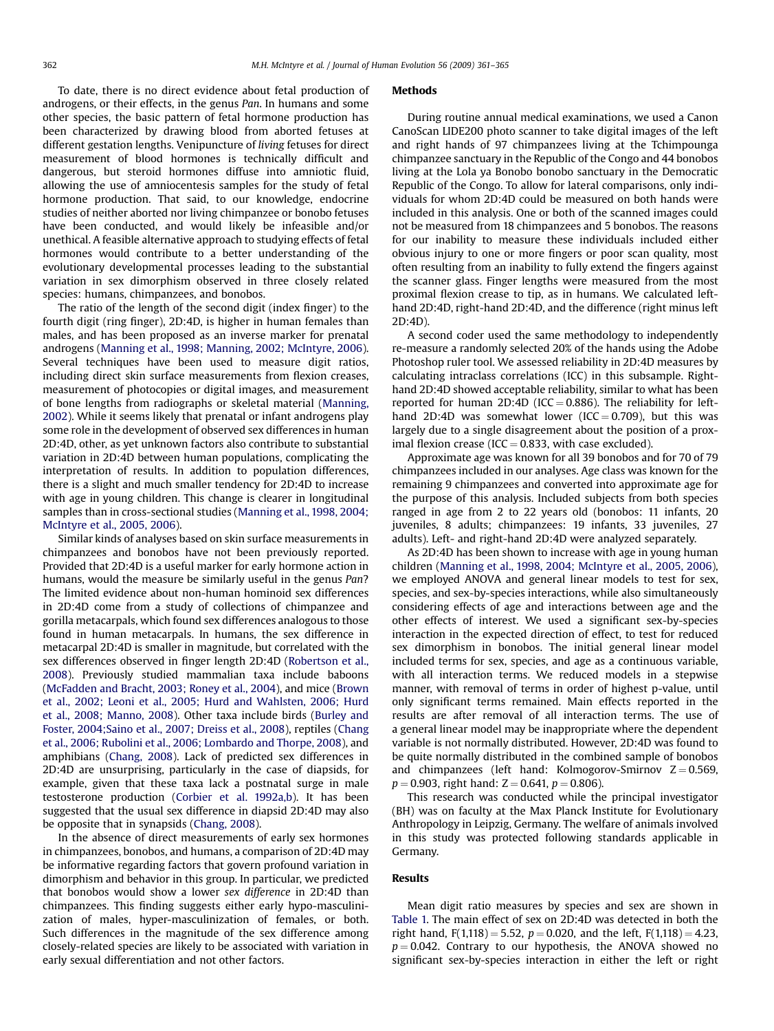To date, there is no direct evidence about fetal production of androgens, or their effects, in the genus Pan. In humans and some other species, the basic pattern of fetal hormone production has been characterized by drawing blood from aborted fetuses at different gestation lengths. Venipuncture of living fetuses for direct measurement of blood hormones is technically difficult and dangerous, but steroid hormones diffuse into amniotic fluid, allowing the use of amniocentesis samples for the study of fetal hormone production. That said, to our knowledge, endocrine studies of neither aborted nor living chimpanzee or bonobo fetuses have been conducted, and would likely be infeasible and/or unethical. A feasible alternative approach to studying effects of fetal hormones would contribute to a better understanding of the evolutionary developmental processes leading to the substantial variation in sex dimorphism observed in three closely related species: humans, chimpanzees, and bonobos.

The ratio of the length of the second digit (index finger) to the fourth digit (ring finger), 2D:4D, is higher in human females than males, and has been proposed as an inverse marker for prenatal androgens ([Manning et al., 1998; Manning, 2002; McIntyre, 2006\)](#page-3-0). Several techniques have been used to measure digit ratios, including direct skin surface measurements from flexion creases, measurement of photocopies or digital images, and measurement of bone lengths from radiographs or skeletal material [\(Manning,](#page-3-0) [2002](#page-3-0)). While it seems likely that prenatal or infant androgens play some role in the development of observed sex differences in human 2D:4D, other, as yet unknown factors also contribute to substantial variation in 2D:4D between human populations, complicating the interpretation of results. In addition to population differences, there is a slight and much smaller tendency for 2D:4D to increase with age in young children. This change is clearer in longitudinal samples than in cross-sectional studies [\(Manning et al., 1998, 2004;](#page-3-0) [McIntyre et al., 2005, 2006](#page-3-0)).

Similar kinds of analyses based on skin surface measurements in chimpanzees and bonobos have not been previously reported. Provided that 2D:4D is a useful marker for early hormone action in humans, would the measure be similarly useful in the genus Pan? The limited evidence about non-human hominoid sex differences in 2D:4D come from a study of collections of chimpanzee and gorilla metacarpals, which found sex differences analogous to those found in human metacarpals. In humans, the sex difference in metacarpal 2D:4D is smaller in magnitude, but correlated with the sex differences observed in finger length 2D:4D [\(Robertson et al.,](#page-4-0) [2008](#page-4-0)). Previously studied mammalian taxa include baboons ([McFadden and Bracht, 2003; Roney et al., 2004](#page-3-0)), and mice [\(Brown](#page-3-0) [et al., 2002; Leoni et al., 2005; Hurd and Wahlsten, 2006; Hurd](#page-3-0) [et al., 2008; Manno, 2008\)](#page-3-0). Other taxa include birds [\(Burley and](#page-3-0) [Foster, 2004;Saino et al., 2007; Dreiss et al., 2008](#page-3-0)), reptiles [\(Chang](#page-3-0) [et al., 2006; Rubolini et al., 2006; Lombardo and Thorpe, 2008\)](#page-3-0), and amphibians [\(Chang, 2008](#page-3-0)). Lack of predicted sex differences in 2D:4D are unsurprising, particularly in the case of diapsids, for example, given that these taxa lack a postnatal surge in male testosterone production [\(Corbier et al. 1992a,b](#page-3-0)). It has been suggested that the usual sex difference in diapsid 2D:4D may also be opposite that in synapsids [\(Chang, 2008](#page-3-0)).

In the absence of direct measurements of early sex hormones in chimpanzees, bonobos, and humans, a comparison of 2D:4D may be informative regarding factors that govern profound variation in dimorphism and behavior in this group. In particular, we predicted that bonobos would show a lower sex difference in 2D:4D than chimpanzees. This finding suggests either early hypo-masculinization of males, hyper-masculinization of females, or both. Such differences in the magnitude of the sex difference among closely-related species are likely to be associated with variation in early sexual differentiation and not other factors.

#### **Methods**

During routine annual medical examinations, we used a Canon CanoScan LIDE200 photo scanner to take digital images of the left and right hands of 97 chimpanzees living at the Tchimpounga chimpanzee sanctuary in the Republic of the Congo and 44 bonobos living at the Lola ya Bonobo bonobo sanctuary in the Democratic Republic of the Congo. To allow for lateral comparisons, only individuals for whom 2D:4D could be measured on both hands were included in this analysis. One or both of the scanned images could not be measured from 18 chimpanzees and 5 bonobos. The reasons for our inability to measure these individuals included either obvious injury to one or more fingers or poor scan quality, most often resulting from an inability to fully extend the fingers against the scanner glass. Finger lengths were measured from the most proximal flexion crease to tip, as in humans. We calculated lefthand 2D:4D, right-hand 2D:4D, and the difference (right minus left 2D:4D).

A second coder used the same methodology to independently re-measure a randomly selected 20% of the hands using the Adobe Photoshop ruler tool. We assessed reliability in 2D:4D measures by calculating intraclass correlations (ICC) in this subsample. Righthand 2D:4D showed acceptable reliability, similar to what has been reported for human 2D:4D (ICC = 0.886). The reliability for lefthand 2D:4D was somewhat lower (ICC = 0.709), but this was largely due to a single disagreement about the position of a proximal flexion crease (ICC =  $0.833$ , with case excluded).

Approximate age was known for all 39 bonobos and for 70 of 79 chimpanzees included in our analyses. Age class was known for the remaining 9 chimpanzees and converted into approximate age for the purpose of this analysis. Included subjects from both species ranged in age from 2 to 22 years old (bonobos: 11 infants, 20 juveniles, 8 adults; chimpanzees: 19 infants, 33 juveniles, 27 adults). Left- and right-hand 2D:4D were analyzed separately.

As 2D:4D has been shown to increase with age in young human children ([Manning et al., 1998, 2004; McIntyre et al., 2005, 2006\)](#page-3-0), we employed ANOVA and general linear models to test for sex, species, and sex-by-species interactions, while also simultaneously considering effects of age and interactions between age and the other effects of interest. We used a significant sex-by-species interaction in the expected direction of effect, to test for reduced sex dimorphism in bonobos. The initial general linear model included terms for sex, species, and age as a continuous variable, with all interaction terms. We reduced models in a stepwise manner, with removal of terms in order of highest p-value, until only significant terms remained. Main effects reported in the results are after removal of all interaction terms. The use of a general linear model may be inappropriate where the dependent variable is not normally distributed. However, 2D:4D was found to be quite normally distributed in the combined sample of bonobos and chimpanzees (left hand: Kolmogorov-Smirnov  $Z = 0.569$ ,  $p = 0.903$ , right hand:  $Z = 0.641$ ,  $p = 0.806$ ).

This research was conducted while the principal investigator (BH) was on faculty at the Max Planck Institute for Evolutionary Anthropology in Leipzig, Germany. The welfare of animals involved in this study was protected following standards applicable in Germany.

#### Results

Mean digit ratio measures by species and sex are shown in [Table 1.](#page-2-0) The main effect of sex on 2D:4D was detected in both the right hand,  $F(1,118) = 5.52$ ,  $p = 0.020$ , and the left,  $F(1,118) = 4.23$ ,  $p = 0.042$ . Contrary to our hypothesis, the ANOVA showed no significant sex-by-species interaction in either the left or right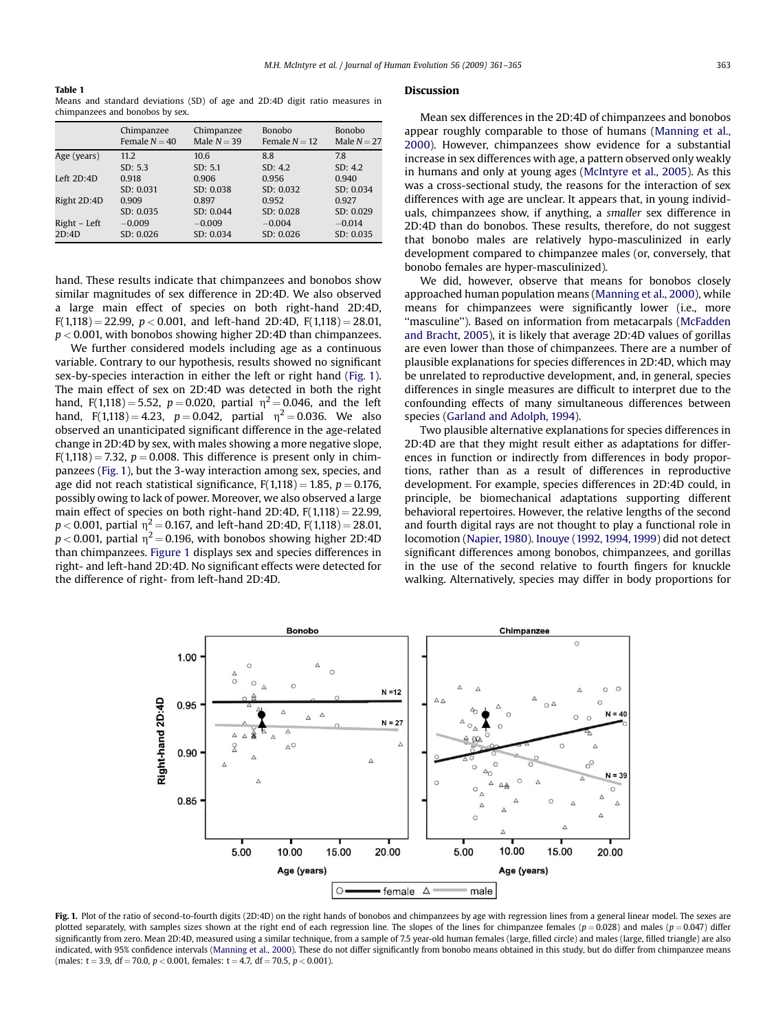<span id="page-2-0"></span>Table 1 Means and standard deviations (SD) of age and 2D:4D digit ratio measures in chimpanzees and bonobos by sex.

|              | Chimpanzee<br>Female $N = 40$ | Chimpanzee<br>Male $N = 39$ | <b>Bonobo</b><br>Female $N = 12$ | <b>Bonobo</b><br>Male $N = 27$ |
|--------------|-------------------------------|-----------------------------|----------------------------------|--------------------------------|
| Age (years)  | 11.2                          | 10.6                        | 8.8                              | 7.8                            |
|              | SD: 5.3                       | SD: 5.1                     | SD: 4.2                          | SD: 4.2                        |
| Left 2D:4D   | 0.918                         | 0.906                       | 0.956                            | 0.940                          |
|              | SD: 0.031                     | SD: 0.038                   | SD: 0.032                        | SD: 0.034                      |
| Right 2D:4D  | 0.909                         | 0.897                       | 0.952                            | 0.927                          |
|              | SD: 0.035                     | SD: 0.044                   | SD: 0.028                        | SD: 0.029                      |
| Right – Left | $-0.009$                      | $-0.009$                    | $-0.004$                         | $-0.014$                       |
| 2D:4D        | SD: 0.026                     | SD: 0.034                   | SD: 0.026                        | SD: 0.035                      |

hand. These results indicate that chimpanzees and bonobos show similar magnitudes of sex difference in 2D:4D. We also observed a large main effect of species on both right-hand 2D:4D,  $F(1,118) = 22.99$ ,  $p < 0.001$ , and left-hand 2D:4D,  $F(1,118) = 28.01$ ,  $p < 0.001$ , with bonobos showing higher 2D:4D than chimpanzees.

We further considered models including age as a continuous variable. Contrary to our hypothesis, results showed no significant sex-by-species interaction in either the left or right hand (Fig. 1). The main effect of sex on 2D:4D was detected in both the right hand, F(1,118) = 5.52,  $p = 0.020$ , partial  $\eta^2 = 0.046$ , and the left hand,  $F(1,118) = 4.23$ ,  $p = 0.042$ , partial  $\eta^2 = 0.036$ . We also observed an unanticipated significant difference in the age-related change in 2D:4D by sex, with males showing a more negative slope,  $F(1,118) = 7.32$ ,  $p = 0.008$ . This difference is present only in chimpanzees (Fig. 1), but the 3-way interaction among sex, species, and age did not reach statistical significance,  $F(1,118) = 1.85$ ,  $p = 0.176$ , possibly owing to lack of power. Moreover, we also observed a large main effect of species on both right-hand  $2D:4D$ ,  $F(1,118) = 22.99$ ,  $p < 0.001$ , partial  $\eta^2 = 0.167$ , and left-hand 2D:4D, F(1,118) = 28.01,  $p < 0.001$ , partial  $\eta^2 = 0.196$ , with bonobos showing higher 2D:4D than chimpanzees. Figure 1 displays sex and species differences in right- and left-hand 2D:4D. No significant effects were detected for the difference of right- from left-hand 2D:4D.

#### Discussion

Mean sex differences in the 2D:4D of chimpanzees and bonobos appear roughly comparable to those of humans [\(Manning et al.,](#page-3-0) [2000\)](#page-3-0). However, chimpanzees show evidence for a substantial increase in sex differences with age, a pattern observed only weakly in humans and only at young ages [\(McIntyre et al., 2005\)](#page-4-0). As this was a cross-sectional study, the reasons for the interaction of sex differences with age are unclear. It appears that, in young individuals, chimpanzees show, if anything, a smaller sex difference in 2D:4D than do bonobos. These results, therefore, do not suggest that bonobo males are relatively hypo-masculinized in early development compared to chimpanzee males (or, conversely, that bonobo females are hyper-masculinized).

We did, however, observe that means for bonobos closely approached human population means [\(Manning et al., 2000\)](#page-3-0), while means for chimpanzees were significantly lower (i.e., more ''masculine''). Based on information from metacarpals ([McFadden](#page-3-0) [and Bracht, 2005](#page-3-0)), it is likely that average 2D:4D values of gorillas are even lower than those of chimpanzees. There are a number of plausible explanations for species differences in 2D:4D, which may be unrelated to reproductive development, and, in general, species differences in single measures are difficult to interpret due to the confounding effects of many simultaneous differences between species [\(Garland and Adolph, 1994](#page-3-0)).

Two plausible alternative explanations for species differences in 2D:4D are that they might result either as adaptations for differences in function or indirectly from differences in body proportions, rather than as a result of differences in reproductive development. For example, species differences in 2D:4D could, in principle, be biomechanical adaptations supporting different behavioral repertoires. However, the relative lengths of the second and fourth digital rays are not thought to play a functional role in locomotion [\(Napier, 1980\)](#page-4-0). [Inouye \(1992, 1994, 1999](#page-3-0)) did not detect significant differences among bonobos, chimpanzees, and gorillas in the use of the second relative to fourth fingers for knuckle walking. Alternatively, species may differ in body proportions for



Fig. 1. Plot of the ratio of second-to-fourth digits (2D:4D) on the right hands of bonobos and chimpanzees by age with regression lines from a general linear model. The sexes are plotted separately, with samples sizes shown at the right end of each regression line. The slopes of the lines for chimpanzee females ( $p = 0.028$ ) and males ( $p = 0.047$ ) differ significantly from zero. Mean 2D:4D, measured using a similar technique, from a sample of 7.5 year-old human females (large, filled circle) and males (large, filled triangle) are also indicated, with 95% confidence intervals [\(Manning et al., 2000](#page-3-0)). These do not differ significantly from bonobo means obtained in this study, but do differ from chimpanzee means (males:  $t = 3.9$ ,  $df = 70.0$ ,  $p < 0.001$ , females:  $t = 4.7$ ,  $df = 70.5$ ,  $p < 0.001$ ).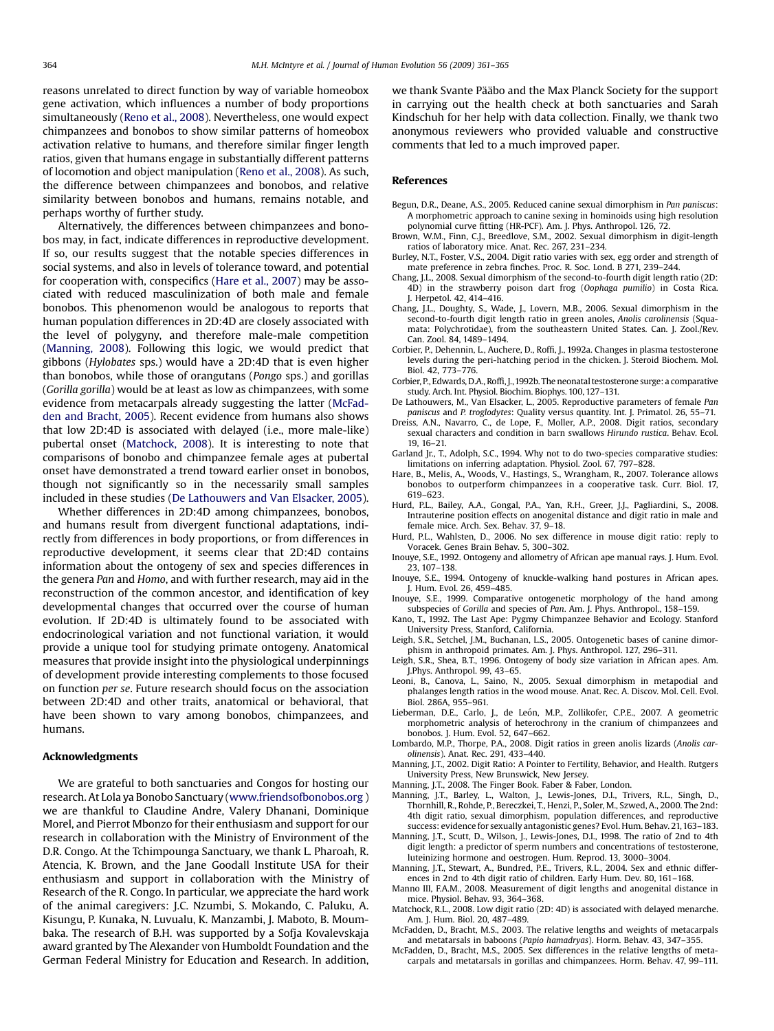<span id="page-3-0"></span>reasons unrelated to direct function by way of variable homeobox gene activation, which influences a number of body proportions simultaneously [\(Reno et al., 2008\)](#page-4-0). Nevertheless, one would expect chimpanzees and bonobos to show similar patterns of homeobox activation relative to humans, and therefore similar finger length ratios, given that humans engage in substantially different patterns of locomotion and object manipulation [\(Reno et al., 2008](#page-4-0)). As such, the difference between chimpanzees and bonobos, and relative similarity between bonobos and humans, remains notable, and perhaps worthy of further study.

Alternatively, the differences between chimpanzees and bonobos may, in fact, indicate differences in reproductive development. If so, our results suggest that the notable species differences in social systems, and also in levels of tolerance toward, and potential for cooperation with, conspecifics (Hare et al., 2007) may be associated with reduced masculinization of both male and female bonobos. This phenomenon would be analogous to reports that human population differences in 2D:4D are closely associated with the level of polygyny, and therefore male-male competition (Manning, 2008). Following this logic, we would predict that gibbons (Hylobates sps.) would have a 2D:4D that is even higher than bonobos, while those of orangutans (Pongo sps.) and gorillas (Gorilla gorilla) would be at least as low as chimpanzees, with some evidence from metacarpals already suggesting the latter (McFadden and Bracht, 2005). Recent evidence from humans also shows that low 2D:4D is associated with delayed (i.e., more male-like) pubertal onset (Matchock, 2008). It is interesting to note that comparisons of bonobo and chimpanzee female ages at pubertal onset have demonstrated a trend toward earlier onset in bonobos, though not significantly so in the necessarily small samples included in these studies (De Lathouwers and Van Elsacker, 2005).

Whether differences in 2D:4D among chimpanzees, bonobos, and humans result from divergent functional adaptations, indirectly from differences in body proportions, or from differences in reproductive development, it seems clear that 2D:4D contains information about the ontogeny of sex and species differences in the genera Pan and Homo, and with further research, may aid in the reconstruction of the common ancestor, and identification of key developmental changes that occurred over the course of human evolution. If 2D:4D is ultimately found to be associated with endocrinological variation and not functional variation, it would provide a unique tool for studying primate ontogeny. Anatomical measures that provide insight into the physiological underpinnings of development provide interesting complements to those focused on function per se. Future research should focus on the association between 2D:4D and other traits, anatomical or behavioral, that have been shown to vary among bonobos, chimpanzees, and humans.

## Acknowledgments

We are grateful to both sanctuaries and Congos for hosting our research. At Lola ya Bonobo Sanctuary ([www.friendsofbonobos.org](http://www.friendsofbonobos.org) ) we are thankful to Claudine Andre, Valery Dhanani, Dominique Morel, and Pierrot Mbonzo for their enthusiasm and support for our research in collaboration with the Ministry of Environment of the D.R. Congo. At the Tchimpounga Sanctuary, we thank L. Pharoah, R. Atencia, K. Brown, and the Jane Goodall Institute USA for their enthusiasm and support in collaboration with the Ministry of Research of the R. Congo. In particular, we appreciate the hard work of the animal caregivers: J.C. Nzumbi, S. Mokando, C. Paluku, A. Kisungu, P. Kunaka, N. Luvualu, K. Manzambi, J. Maboto, B. Moumbaka. The research of B.H. was supported by a Sofja Kovalevskaja award granted by The Alexander von Humboldt Foundation and the German Federal Ministry for Education and Research. In addition, we thank Svante Pääbo and the Max Planck Society for the support in carrying out the health check at both sanctuaries and Sarah Kindschuh for her help with data collection. Finally, we thank two anonymous reviewers who provided valuable and constructive comments that led to a much improved paper.

## References

- Begun, D.R., Deane, A.S., 2005. Reduced canine sexual dimorphism in Pan paniscus: A morphometric approach to canine sexing in hominoids using high resolution polynomial curve fitting (HR-PCF). Am. J. Phys. Anthropol. 126, 72.
- Brown, W.M., Finn, C.J., Breedlove, S.M., 2002. Sexual dimorphism in digit-length ratios of laboratory mice. Anat. Rec. 267, 231–234.
- Burley, N.T., Foster, V.S., 2004. Digit ratio varies with sex, egg order and strength of mate preference in zebra finches. Proc. R. Soc. Lond. B 271, 239–244.
- Chang, J.L., 2008. Sexual dimorphism of the second-to-fourth digit length ratio (2D: 4D) in the strawberry poison dart frog (Oophaga pumilio) in Costa Rica. J. Herpetol. 42, 414–416.
- Chang, J.L., Doughty, S., Wade, J., Lovern, M.B., 2006. Sexual dimorphism in the second-to-fourth digit length ratio in green anoles, Anolis carolinensis (Squamata: Polychrotidae), from the southeastern United States. Can. J. Zool./Rev. Can. Zool. 84, 1489–1494.
- Corbier, P., Dehennin, L., Auchere, D., Roffi, J., 1992a. Changes in plasma testosterone levels during the peri-hatching period in the chicken. J. Steroid Biochem. Mol. Biol. 42, 773–776.
- Corbier, P., Edwards, D.A., Roffi, J.,1992b. The neonatal testosterone surge: a comparative study. Arch. Int. Physiol. Biochim. Biophys. 100, 127–131.
- De Lathouwers, M., Van Elsacker, L., 2005. Reproductive parameters of female Pan paniscus and P. troglodytes: Quality versus quantity. Int. J. Primatol. 26, 55–71.
- Dreiss, A.N., Navarro, C., de Lope, F., Moller, A.P., 2008. Digit ratios, secondary sexual characters and condition in barn swallows Hirundo rustica. Behav. Ecol. 19, 16–21.
- Garland Jr., T., Adolph, S.C., 1994. Why not to do two-species comparative studies: limitations on inferring adaptation. Physiol. Zool. 67, 797–828.
- Hare, B., Melis, A., Woods, V., Hastings, S., Wrangham, R., 2007. Tolerance allows bonobos to outperform chimpanzees in a cooperative task. Curr. Biol. 17, 619–623.
- Hurd, P.L., Bailey, A.A., Gongal, P.A., Yan, R.H., Greer, J.J., Pagliardini, S., 2008. Intrauterine position effects on anogenital distance and digit ratio in male and female mice. Arch. Sex. Behav. 37, 9–18.
- Hurd, P.L., Wahlsten, D., 2006. No sex difference in mouse digit ratio: reply to Voracek. Genes Brain Behav. 5, 300–302.
- Inouye, S.E., 1992. Ontogeny and allometry of African ape manual rays. J. Hum. Evol. 23, 107–138.
- Inouye, S.E., 1994. Ontogeny of knuckle-walking hand postures in African apes. J. Hum. Evol. 26, 459–485.
- Inouye, S.E., 1999. Comparative ontogenetic morphology of the hand among subspecies of Gorilla and species of Pan. Am. J. Phys. Anthropol., 158–159.
- Kano, T., 1992. The Last Ape: Pygmy Chimpanzee Behavior and Ecology. Stanford University Press, Stanford, California.
- Leigh, S.R., Setchel, J.M., Buchanan, L.S., 2005. Ontogenetic bases of canine dimorphism in anthropoid primates. Am. J. Phys. Anthropol. 127, 296–311.
- Leigh, S.R., Shea, B.T., 1996. Ontogeny of body size variation in African apes. Am. J.Phys. Anthropol. 99, 43–65.
- Leoni, B., Canova, L., Saino, N., 2005. Sexual dimorphism in metapodial and phalanges length ratios in the wood mouse. Anat. Rec. A. Discov. Mol. Cell. Evol. Biol. 286A, 955–961.
- Lieberman, D.E., Carlo, J., de León, M.P., Zollikofer, C.P.E., 2007. A geometric morphometric analysis of heterochrony in the cranium of chimpanzees and bonobos. J. Hum. Evol. 52, 647–662.
- Lombardo, M.P., Thorpe, P.A., 2008. Digit ratios in green anolis lizards (Anolis carolinensis). Anat. Rec. 291, 433–440.
- Manning, J.T., 2002. Digit Ratio: A Pointer to Fertility, Behavior, and Health. Rutgers University Press, New Brunswick, New Jersey.
- Manning, J.T., 2008. The Finger Book. Faber & Faber, London.
- Manning, J.T., Barley, L., Walton, J., Lewis-Jones, D.I., Trivers, R.L., Singh, D., Thornhill, R., Rohde, P., Bereczkei, T., Henzi, P., Soler, M., Szwed, A., 2000. The 2nd: 4th digit ratio, sexual dimorphism, population differences, and reproductive success: evidence for sexually antagonistic genes? Evol. Hum. Behav. 21,163–183.
- Manning, J.T., Scutt, D., Wilson, J., Lewis-Jones, D.I., 1998. The ratio of 2nd to 4th digit length: a predictor of sperm numbers and concentrations of testosterone, luteinizing hormone and oestrogen. Hum. Reprod. 13, 3000–3004.
- Manning, J.T., Stewart, A., Bundred, P.E., Trivers, R.L., 2004. Sex and ethnic differences in 2nd to 4th digit ratio of children. Early Hum. Dev. 80, 161–168.
- Manno III, F.A.M., 2008. Measurement of digit lengths and anogenital distance in mice. Physiol. Behav. 93, 364–368.
- Matchock, R.L., 2008. Low digit ratio (2D: 4D) is associated with delayed menarche. Am. J. Hum. Biol. 20, 487–489.
- McFadden, D., Bracht, M.S., 2003. The relative lengths and weights of metacarpals and metatarsals in baboons (Papio hamadryas). Horm. Behav. 43, 347–355.
- McFadden, D., Bracht, M.S., 2005. Sex differences in the relative lengths of metacarpals and metatarsals in gorillas and chimpanzees. Horm. Behav. 47, 99–111.